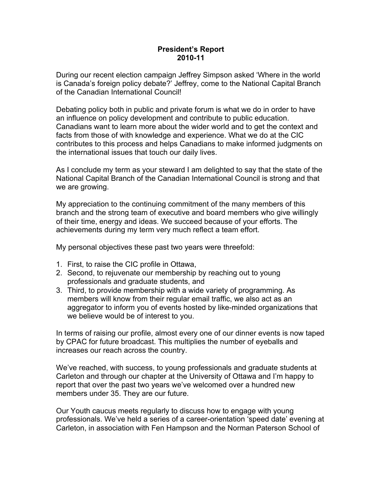## **President's Report 2010-11**

During our recent election campaign Jeffrey Simpson asked 'Where in the world is Canada's foreign policy debate?' Jeffrey, come to the National Capital Branch of the Canadian International Council!

Debating policy both in public and private forum is what we do in order to have an influence on policy development and contribute to public education. Canadians want to learn more about the wider world and to get the context and facts from those of with knowledge and experience. What we do at the CIC contributes to this process and helps Canadians to make informed judgments on the international issues that touch our daily lives.

As I conclude my term as your steward I am delighted to say that the state of the National Capital Branch of the Canadian International Council is strong and that we are growing.

My appreciation to the continuing commitment of the many members of this branch and the strong team of executive and board members who give willingly of their time, energy and ideas. We succeed because of your efforts. The achievements during my term very much reflect a team effort.

My personal objectives these past two years were threefold:

- 1. First, to raise the CIC profile in Ottawa,
- 2. Second, to rejuvenate our membership by reaching out to young professionals and graduate students, and
- 3. Third, to provide membership with a wide variety of programming. As members will know from their regular email traffic, we also act as an aggregator to inform you of events hosted by like-minded organizations that we believe would be of interest to you.

In terms of raising our profile, almost every one of our dinner events is now taped by CPAC for future broadcast. This multiplies the number of eyeballs and increases our reach across the country.

We've reached, with success, to young professionals and graduate students at Carleton and through our chapter at the University of Ottawa and I'm happy to report that over the past two years we've welcomed over a hundred new members under 35. They are our future.

Our Youth caucus meets regularly to discuss how to engage with young professionals. We've held a series of a career-orientation 'speed date' evening at Carleton, in association with Fen Hampson and the Norman Paterson School of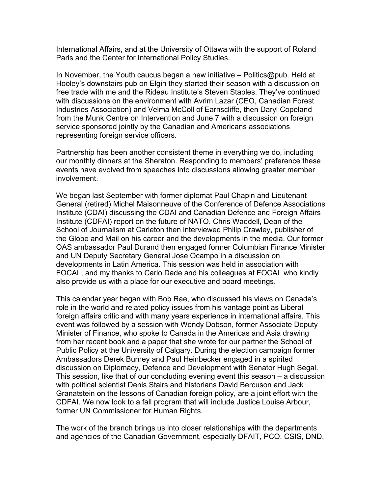International Affairs, and at the University of Ottawa with the support of Roland Paris and the Center for International Policy Studies.

In November, the Youth caucus began a new initiative – Politics@pub. Held at Hooley's downstairs pub on Elgin they started their season with a discussion on free trade with me and the Rideau Institute's Steven Staples. They've continued with discussions on the environment with Avrim Lazar (CEO, Canadian Forest Industries Association) and Velma McColl of Earnscliffe, then Daryl Copeland from the Munk Centre on Intervention and June 7 with a discussion on foreign service sponsored jointly by the Canadian and Americans associations representing foreign service officers.

Partnership has been another consistent theme in everything we do, including our monthly dinners at the Sheraton. Responding to members' preference these events have evolved from speeches into discussions allowing greater member involvement.

We began last September with former diplomat Paul Chapin and Lieutenant General (retired) Michel Maisonneuve of the Conference of Defence Associations Institute (CDAI) discussing the CDAI and Canadian Defence and Foreign Affairs Institute (CDFAI) report on the future of NATO. Chris Waddell, Dean of the School of Journalism at Carleton then interviewed Philip Crawley, publisher of the Globe and Mail on his career and the developments in the media. Our former OAS ambassador Paul Durand then engaged former Columbian Finance Minister and UN Deputy Secretary General Jose Ocampo in a discussion on developments in Latin America. This session was held in association with FOCAL, and my thanks to Carlo Dade and his colleagues at FOCAL who kindly also provide us with a place for our executive and board meetings.

This calendar year began with Bob Rae, who discussed his views on Canada's role in the world and related policy issues from his vantage point as Liberal foreign affairs critic and with many years experience in international affairs. This event was followed by a session with Wendy Dobson, former Associate Deputy Minister of Finance, who spoke to Canada in the Americas and Asia drawing from her recent book and a paper that she wrote for our partner the School of Public Policy at the University of Calgary. During the election campaign former Ambassadors Derek Burney and Paul Heinbecker engaged in a spirited discussion on Diplomacy, Defence and Development with Senator Hugh Segal. This session, like that of our concluding evening event this season – a discussion with political scientist Denis Stairs and historians David Bercuson and Jack Granatstein on the lessons of Canadian foreign policy, are a joint effort with the CDFAI. We now look to a fall program that will include Justice Louise Arbour, former UN Commissioner for Human Rights.

The work of the branch brings us into closer relationships with the departments and agencies of the Canadian Government, especially DFAIT, PCO, CSIS, DND,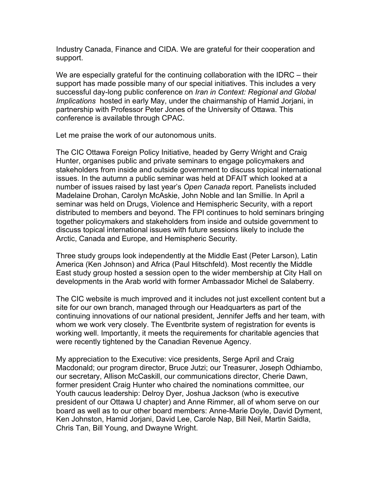Industry Canada, Finance and CIDA. We are grateful for their cooperation and support.

We are especially grateful for the continuing collaboration with the IDRC – their support has made possible many of our special initiatives. This includes a very successful day-long public conference on *Iran in Context: Regional and Global Implications* hosted in early May, under the chairmanship of Hamid Jorjani, in partnership with Professor Peter Jones of the University of Ottawa. This conference is available through CPAC.

Let me praise the work of our autonomous units.

The CIC Ottawa Foreign Policy Initiative, headed by Gerry Wright and Craig Hunter, organises public and private seminars to engage policymakers and stakeholders from inside and outside government to discuss topical international issues. In the autumn a public seminar was held at DFAIT which looked at a number of issues raised by last year's *Open Canada* report. Panelists included Madelaine Drohan, Carolyn McAskie, John Noble and Ian Smillie. In April a seminar was held on Drugs, Violence and Hemispheric Security, with a report distributed to members and beyond. The FPI continues to hold seminars bringing together policymakers and stakeholders from inside and outside government to discuss topical international issues with future sessions likely to include the Arctic, Canada and Europe, and Hemispheric Security.

Three study groups look independently at the Middle East (Peter Larson), Latin America (Ken Johnson) and Africa (Paul Hitschfeld). Most recently the Middle East study group hosted a session open to the wider membership at City Hall on developments in the Arab world with former Ambassador Michel de Salaberry.

The CIC website is much improved and it includes not just excellent content but a site for our own branch, managed through our Headquarters as part of the continuing innovations of our national president, Jennifer Jeffs and her team, with whom we work very closely. The Eventbrite system of registration for events is working well. Importantly, it meets the requirements for charitable agencies that were recently tightened by the Canadian Revenue Agency.

My appreciation to the Executive: vice presidents, Serge April and Craig Macdonald; our program director, Bruce Jutzi; our Treasurer, Joseph Odhiambo, our secretary, Allison McCaskill, our communications director, Cherie Dawn, former president Craig Hunter who chaired the nominations committee, our Youth caucus leadership: Delroy Dyer, Joshua Jackson (who is executive president of our Ottawa U chapter) and Anne Rimmer, all of whom serve on our board as well as to our other board members: Anne-Marie Doyle, David Dyment, Ken Johnston, Hamid Jorjani, David Lee, Carole Nap, Bill Neil, Martin Saidla, Chris Tan, Bill Young, and Dwayne Wright.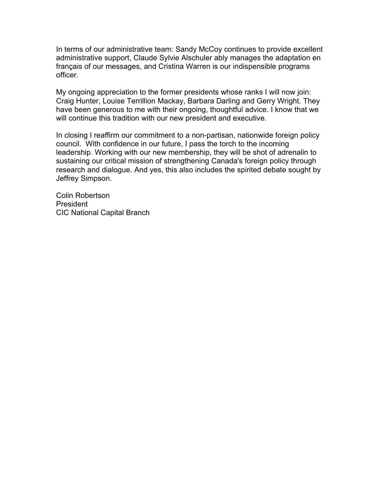In terms of our administrative team: Sandy McCoy continues to provide excellent administrative support, Claude Sylvie Alschuler ably manages the adaptation en français of our messages, and Cristina Warren is our indispensible programs officer.

My ongoing appreciation to the former presidents whose ranks I will now join: Craig Hunter, Louise Terrillion Mackay, Barbara Darling and Gerry Wright. They have been generous to me with their ongoing, thoughtful advice. I know that we will continue this tradition with our new president and executive.

In closing I reaffirm our commitment to a non-partisan, nationwide foreign policy council. With confidence in our future, I pass the torch to the incoming leadership. Working with our new membership, they will be shot of adrenalin to sustaining our critical mission of strengthening Canada's foreign policy through research and dialogue. And yes, this also includes the spirited debate sought by Jeffrey Simpson.

Colin Robertson President CIC National Capital Branch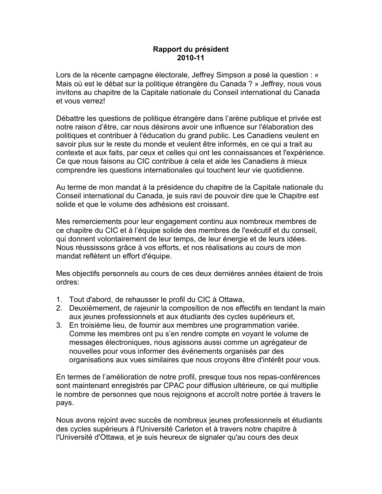## **Rapport du président 2010-11**

Lors de la récente campagne électorale, Jeffrey Simpson a posé la question : « Mais où est le débat sur la politique étrangère du Canada ? » Jeffrey, nous vous invitons au chapitre de la Capitale nationale du Conseil international du Canada et vous verrez!

Débattre les questions de politique étrangère dans l'arène publique et privée est notre raison d'être, car nous désirons avoir une influence sur l'élaboration des politiques et contribuer à l'éducation du grand public. Les Canadiens veulent en savoir plus sur le reste du monde et veulent être informés, en ce qui a trait au contexte et aux faits, par ceux et celles qui ont les connaissances et l'expérience. Ce que nous faisons au CIC contribue à cela et aide les Canadiens à mieux comprendre les questions internationales qui touchent leur vie quotidienne.

Au terme de mon mandat à la présidence du chapitre de la Capitale nationale du Conseil international du Canada, je suis ravi de pouvoir dire que le Chapitre est solide et que le volume des adhésions est croissant.

Mes remerciements pour leur engagement continu aux nombreux membres de ce chapitre du CIC et à l'équipe solide des membres de l'exécutif et du conseil, qui donnent volontairement de leur temps, de leur énergie et de leurs idées. Nous réussissons grâce à vos efforts, et nos réalisations au cours de mon mandat reflètent un effort d'équipe.

Mes objectifs personnels au cours de ces deux dernières années étaient de trois ordres:

- 1. Tout d'abord, de rehausser le profil du CIC à Ottawa,
- 2. Deuxièmement, de rajeunir la composition de nos effectifs en tendant la main aux jeunes professionnels et aux étudiants des cycles supérieurs et,
- 3. En troisième lieu, de fournir aux membres une programmation variée. Comme les membres ont pu s'en rendre compte en voyant le volume de messages électroniques, nous agissons aussi comme un agrégateur de nouvelles pour vous informer des événements organisés par des organisations aux vues similaires que nous croyons être d'intérêt pour vous.

En termes de l'amélioration de notre profil, presque tous nos repas-conférences sont maintenant enregistrés par CPAC pour diffusion ultérieure, ce qui multiplie le nombre de personnes que nous rejoignons et accroît notre portée à travers le pays.

Nous avons rejoint avec succès de nombreux jeunes professionnels et étudiants des cycles supérieurs à l'Université Carleton et à travers notre chapitre à l'Université d'Ottawa, et je suis heureux de signaler qu'au cours des deux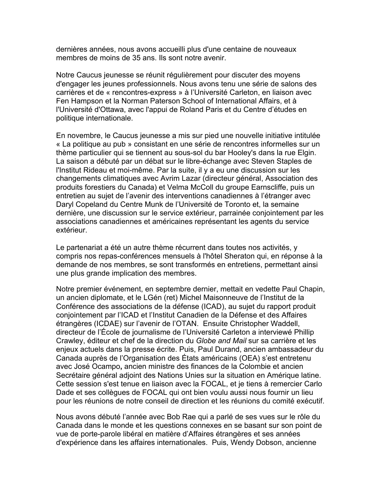dernières années, nous avons accueilli plus d'une centaine de nouveaux membres de moins de 35 ans. Ils sont notre avenir.

Notre Caucus jeunesse se réunit régulièrement pour discuter des moyens d'engager les jeunes professionnels. Nous avons tenu une série de salons des carrières et de « rencontres-express » à l'Université Carleton, en liaison avec Fen Hampson et la Norman Paterson School of International Affairs, et à l'Université d'Ottawa, avec l'appui de Roland Paris et du Centre d'études en politique internationale.

En novembre, le Caucus jeunesse a mis sur pied une nouvelle initiative intitulée « La politique au pub » consistant en une série de rencontres informelles sur un thème particulier qui se tiennent au sous-sol du bar Hooley's dans la rue Elgin. La saison a débuté par un débat sur le libre-échange avec Steven Staples de l'Institut Rideau et moi-même. Par la suite, il y a eu une discussion sur les changements climatiques avec Avrim Lazar (directeur général, Association des produits forestiers du Canada) et Velma McColl du groupe Earnscliffe, puis un entretien au sujet de l'avenir des interventions canadiennes à l'étranger avec Daryl Copeland du Centre Munk de l'Université de Toronto et, la semaine dernière, une discussion sur le service extérieur, parrainée conjointement par les associations canadiennes et américaines représentant les agents du service extérieur.

Le partenariat a été un autre thème récurrent dans toutes nos activités, y compris nos repas-conférences mensuels à l'hôtel Sheraton qui, en réponse à la demande de nos membres, se sont transformés en entretiens, permettant ainsi une plus grande implication des membres.

Notre premier événement, en septembre dernier, mettait en vedette Paul Chapin, un ancien diplomate, et le LGén (ret) Michel Maisonneuve de l'Institut de la Conférence des associations de la défense (ICAD), au sujet du rapport produit conjointement par l'ICAD et l'Institut Canadien de la Défense et des Affaires étrangères (ICDAE) sur l'avenir de l'OTAN. Ensuite Christopher Waddell, directeur de l'École de journalisme de l'Université Carleton a interviewé Phillip Crawley, éditeur et chef de la direction du *Globe and Mail* sur sa carrière et les enjeux actuels dans la presse écrite. Puis, Paul Durand, ancien ambassadeur du Canada auprès de l'Organisation des États américains (OEA) s'est entretenu avec José Ocampo**,** ancien ministre des finances de la Colombie et ancien Secrétaire général adjoint des Nations Unies sur la situation en Amérique latine. Cette session s'est tenue en liaison avec la FOCAL, et je tiens à remercier Carlo Dade et ses collègues de FOCAL qui ont bien voulu aussi nous fournir un lieu pour les réunions de notre conseil de direction et les réunions du comité exécutif.

Nous avons débuté l'année avec Bob Rae qui a parlé de ses vues sur le rôle du Canada dans le monde et les questions connexes en se basant sur son point de vue de porte-parole libéral en matière d'Affaires étrangères et ses années d'expérience dans les affaires internationales. Puis, Wendy Dobson, ancienne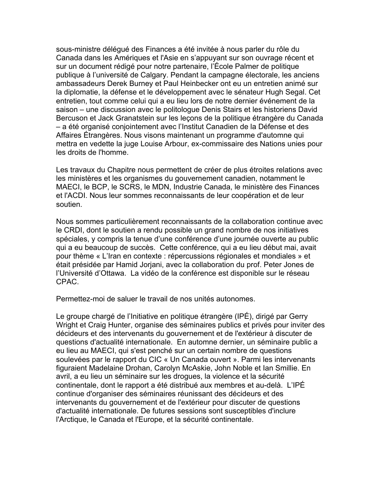sous-ministre délégué des Finances a été invitée à nous parler du rôle du Canada dans les Amériques et l'Asie en s'appuyant sur son ouvrage récent et sur un document rédigé pour notre partenaire, l'École Palmer de politique publique à l'université de Calgary. Pendant la campagne électorale, les anciens ambassadeurs Derek Burney et Paul Heinbecker ont eu un entretien animé sur la diplomatie, la défense et le développement avec le sénateur Hugh Segal. Cet entretien, tout comme celui qui a eu lieu lors de notre dernier événement de la saison – une discussion avec le politologue Denis Stairs et les historiens David Bercuson et Jack Granatstein sur les leçons de la politique étrangère du Canada – a été organisé conjointement avec l'Institut Canadien de la Défense et des Affaires Étrangères. Nous visons maintenant un programme d'automne qui mettra en vedette la juge Louise Arbour, ex-commissaire des Nations unies pour les droits de l'homme.

Les travaux du Chapitre nous permettent de créer de plus étroites relations avec les ministères et les organismes du gouvernement canadien, notamment le MAECI, le BCP, le SCRS, le MDN, Industrie Canada, le ministère des Finances et l'ACDI. Nous leur sommes reconnaissants de leur coopération et de leur soutien.

Nous sommes particulièrement reconnaissants de la collaboration continue avec le CRDI, dont le soutien a rendu possible un grand nombre de nos initiatives spéciales, y compris la tenue d'une conférence d'une journée ouverte au public qui a eu beaucoup de succès. Cette conférence, qui a eu lieu début mai, avait pour thème « L'Iran en contexte : répercussions régionales et mondiales » et était présidée par Hamid Jorjani, avec la collaboration du prof. Peter Jones de l'Université d'Ottawa. La vidéo de la conférence est disponible sur le réseau CPAC.

Permettez-moi de saluer le travail de nos unités autonomes.

Le groupe chargé de l'Initiative en politique étrangère (IPÉ), dirigé par Gerry Wright et Craig Hunter, organise des séminaires publics et privés pour inviter des décideurs et des intervenants du gouvernement et de l'extérieur à discuter de questions d'actualité internationale. En automne dernier, un séminaire public a eu lieu au MAECI, qui s'est penché sur un certain nombre de questions soulevées par le rapport du CIC « Un Canada ouvert ». Parmi les intervenants figuraient Madelaine Drohan, Carolyn McAskie, John Noble et Ian Smillie. En avril, a eu lieu un séminaire sur les drogues, la violence et la sécurité continentale, dont le rapport a été distribué aux membres et au-delà. L'IPÉ continue d'organiser des séminaires réunissant des décideurs et des intervenants du gouvernement et de l'extérieur pour discuter de questions d'actualité internationale. De futures sessions sont susceptibles d'inclure l'Arctique, le Canada et l'Europe, et la sécurité continentale.